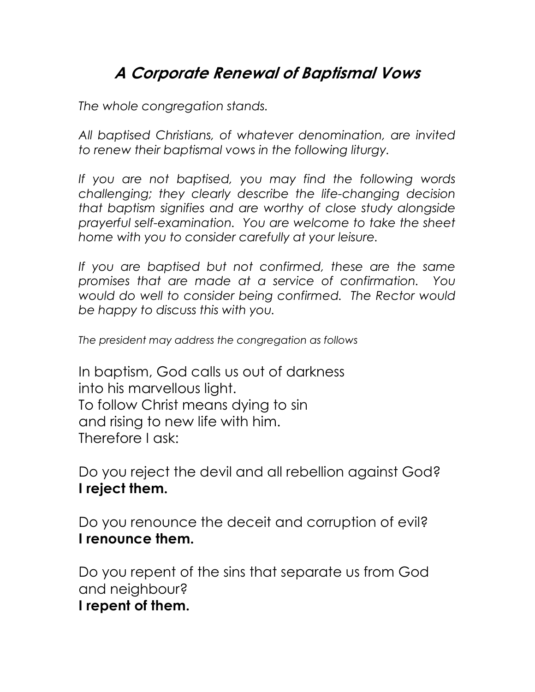## A Corporate Renewal of Baptismal Vows

The whole congregation stands.

All baptised Christians, of whatever denomination, are invited to renew their baptismal vows in the following liturgy.

If you are not baptised, you may find the following words challenging; they clearly describe the life-changing decision that baptism signifies and are worthy of close study alongside prayerful self-examination. You are welcome to take the sheet home with you to consider carefully at your leisure.

If you are baptised but not confirmed, these are the same promises that are made at a service of confirmation. You would do well to consider being confirmed. The Rector would be happy to discuss this with you.

The president may address the congregation as follows

In baptism, God calls us out of darkness into his marvellous light. To follow Christ means dying to sin and rising to new life with him. Therefore I ask:

Do you reject the devil and all rebellion against God? I reject them.

Do you renounce the deceit and corruption of evil? I renounce them.

Do you repent of the sins that separate us from God and neighbour?

I repent of them.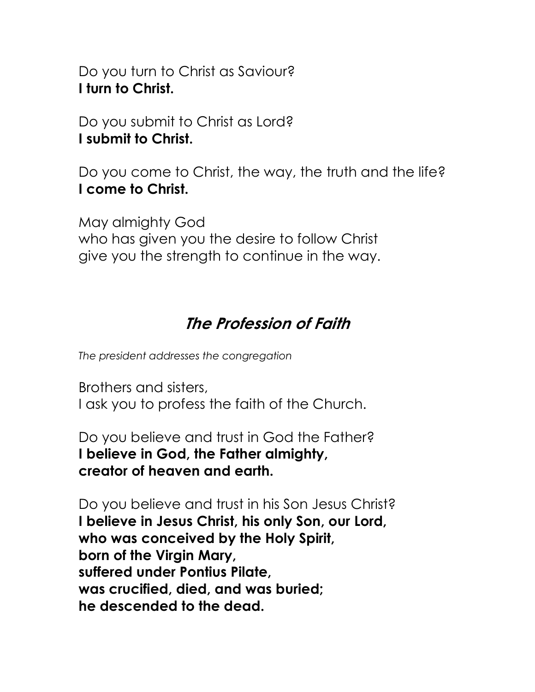Do you turn to Christ as Saviour? I turn to Christ.

Do you submit to Christ as Lord? I submit to Christ.

Do you come to Christ, the way, the truth and the life? I come to Christ.

May almighty God who has given you the desire to follow Christ give you the strength to continue in the way.

## The Profession of Faith

The president addresses the congregation

Brothers and sisters, I ask you to profess the faith of the Church.

Do you believe and trust in God the Father? I believe in God, the Father almighty, creator of heaven and earth.

Do you believe and trust in his Son Jesus Christ? I believe in Jesus Christ, his only Son, our Lord, who was conceived by the Holy Spirit, born of the Virgin Mary, suffered under Pontius Pilate, was crucified, died, and was buried; he descended to the dead.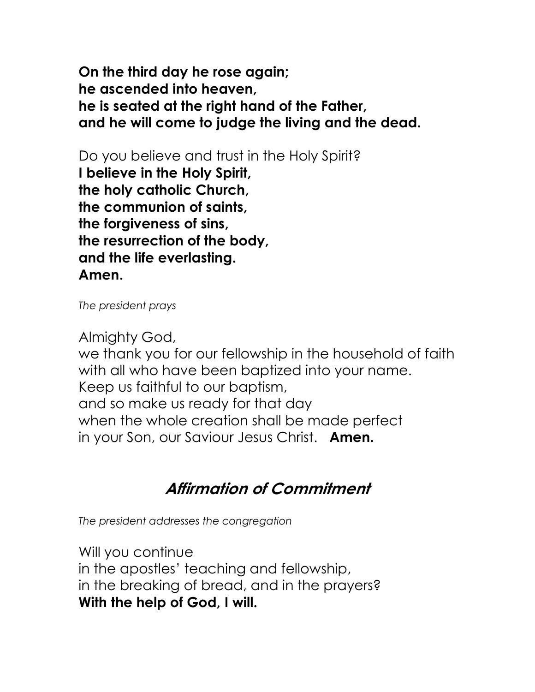On the third day he rose again; he ascended into heaven, he is seated at the right hand of the Father, and he will come to judge the living and the dead.

Do you believe and trust in the Holy Spirit? I believe in the Holy Spirit, the holy catholic Church, the communion of saints, the forgiveness of sins, the resurrection of the body, and the life everlasting. Amen.

The president prays

Almighty God, we thank you for our fellowship in the household of faith with all who have been baptized into your name. Keep us faithful to our baptism, and so make us ready for that day when the whole creation shall be made perfect in your Son, our Saviour Jesus Christ. **Amen.** 

## Affirmation of Commitment

The president addresses the congregation

Will you continue in the apostles' teaching and fellowship, in the breaking of bread, and in the prayers? With the help of God, I will.